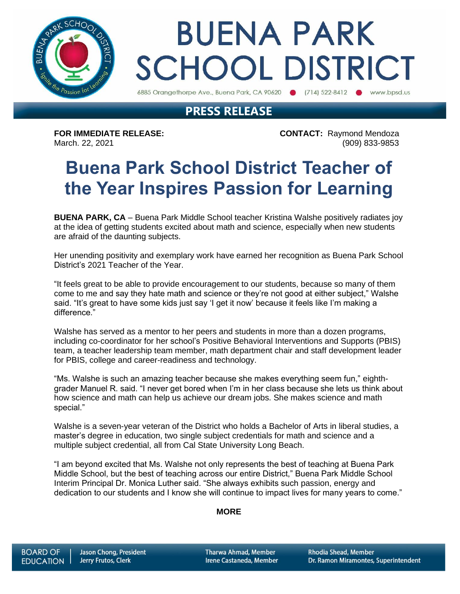

# **BUENA PARK SCHOOL DISTRICT**

6885 Orangethorpe Ave., Buena Park, CA 90620 (714) 522-8412 (b) www.bpsd.us

### **PRESS RELEASE**

**FOR IMMEDIATE RELEASE: CONTACT:** Raymond Mendoza March. 22, 2021 (909) 833-9853

### **Buena Park School District Teacher of the Year Inspires Passion for Learning**

**BUENA PARK, CA** – Buena Park Middle School teacher Kristina Walshe positively radiates joy at the idea of getting students excited about math and science, especially when new students are afraid of the daunting subjects.

Her unending positivity and exemplary work have earned her recognition as Buena Park School District's 2021 Teacher of the Year.

"It feels great to be able to provide encouragement to our students, because so many of them come to me and say they hate math and science or they're not good at either subject," Walshe said. "It's great to have some kids just say 'I get it now' because it feels like I'm making a difference."

Walshe has served as a mentor to her peers and students in more than a dozen programs, including co-coordinator for her school's Positive Behavioral Interventions and Supports (PBIS) team, a teacher leadership team member, math department chair and staff development leader for PBIS, college and career-readiness and technology.

"Ms. Walshe is such an amazing teacher because she makes everything seem fun," eighthgrader Manuel R. said. "I never get bored when I'm in her class because she lets us think about how science and math can help us achieve our dream jobs. She makes science and math special."

Walshe is a seven-year veteran of the District who holds a Bachelor of Arts in liberal studies, a master's degree in education, two single subject credentials for math and science and a multiple subject credential, all from Cal State University Long Beach.

"I am beyond excited that Ms. Walshe not only represents the best of teaching at Buena Park Middle School, but the best of teaching across our entire District," Buena Park Middle School Interim Principal Dr. Monica Luther said. "She always exhibits such passion, energy and dedication to our students and I know she will continue to impact lives for many years to come."

#### **MORE**